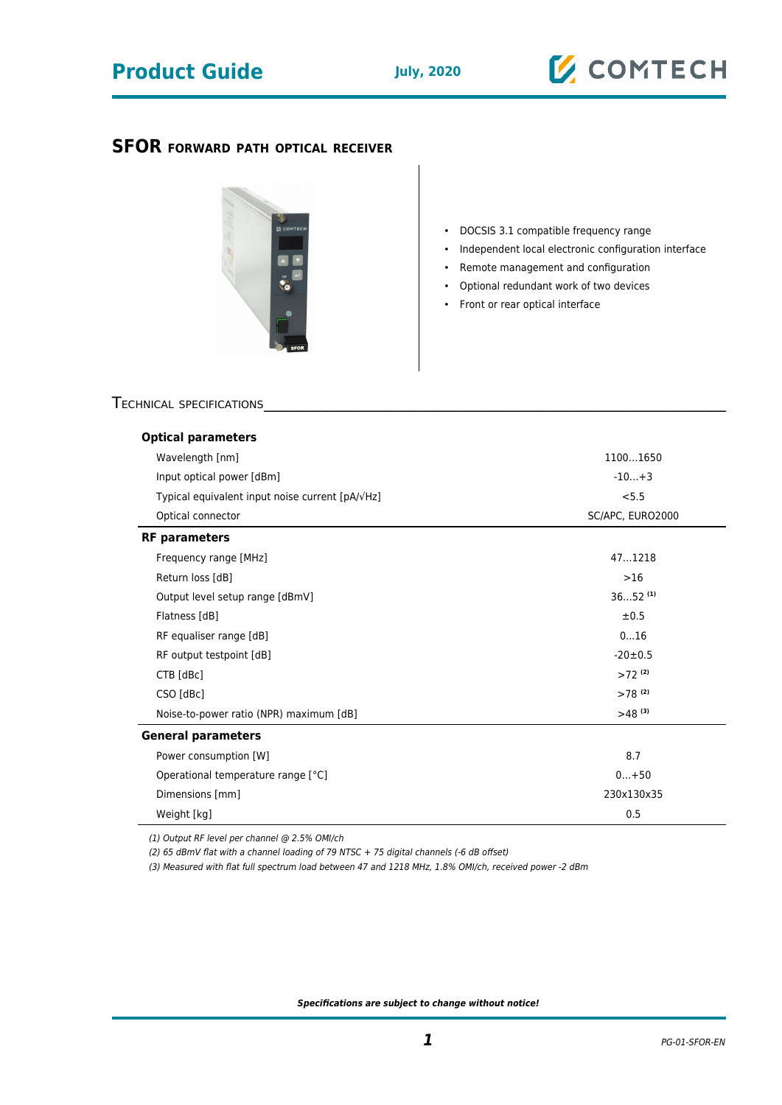## **Product Guide July, 2020**

## **SFOR FORWARD PATH OPTICAL RECEIVER**



- DOCSIS 3.1 compatible frequency range
- Independent local electronic configuration interface
- Remote management and configuration
- Optional redundant work of two devices
- Front or rear optical interface

### TECHNICAL SPECIFICATIONS

| <b>Optical parameters</b>                                 |                      |
|-----------------------------------------------------------|----------------------|
| Wavelength [nm]                                           | 11001650             |
| Input optical power [dBm]                                 | $-10+3$              |
| Typical equivalent input noise current [pA/ $\sqrt{Hz}$ ] | < 5.5                |
| Optical connector                                         | SC/APC, EURO2000     |
| <b>RF</b> parameters                                      |                      |
| Frequency range [MHz]                                     | 471218               |
| Return loss [dB]                                          | $>16$                |
| Output level setup range [dBmV]                           | $3652^{(1)}$         |
| Flatness [dB]                                             | ±0.5                 |
| RF equaliser range [dB]                                   | 016                  |
| RF output testpoint [dB]                                  | $-20 \pm 0.5$        |
| CTB [dBc]                                                 | $>72$ (2)            |
| CSO [dBc]                                                 | $>78$ <sup>(2)</sup> |
| Noise-to-power ratio (NPR) maximum [dB]                   | $>48^{(3)}$          |
| <b>General parameters</b>                                 |                      |
| Power consumption [W]                                     | 8.7                  |
| Operational temperature range [°C]                        | $0+50$               |
| Dimensions [mm]                                           | 230x130x35           |
| Weight [kg]                                               | 0.5                  |

(1) Output RF level per channel @ 2.5% OMI/ch

(2) 65 dBmV flat with a channel loading of 79 NTSC + 75 digital channels (-6 dB offset)

(3) Measured with flat full spectrum load between 47 and 1218 MHz, 1.8% OMI/ch, received power -2 dBm

**Specifications are subject to change without notice!**